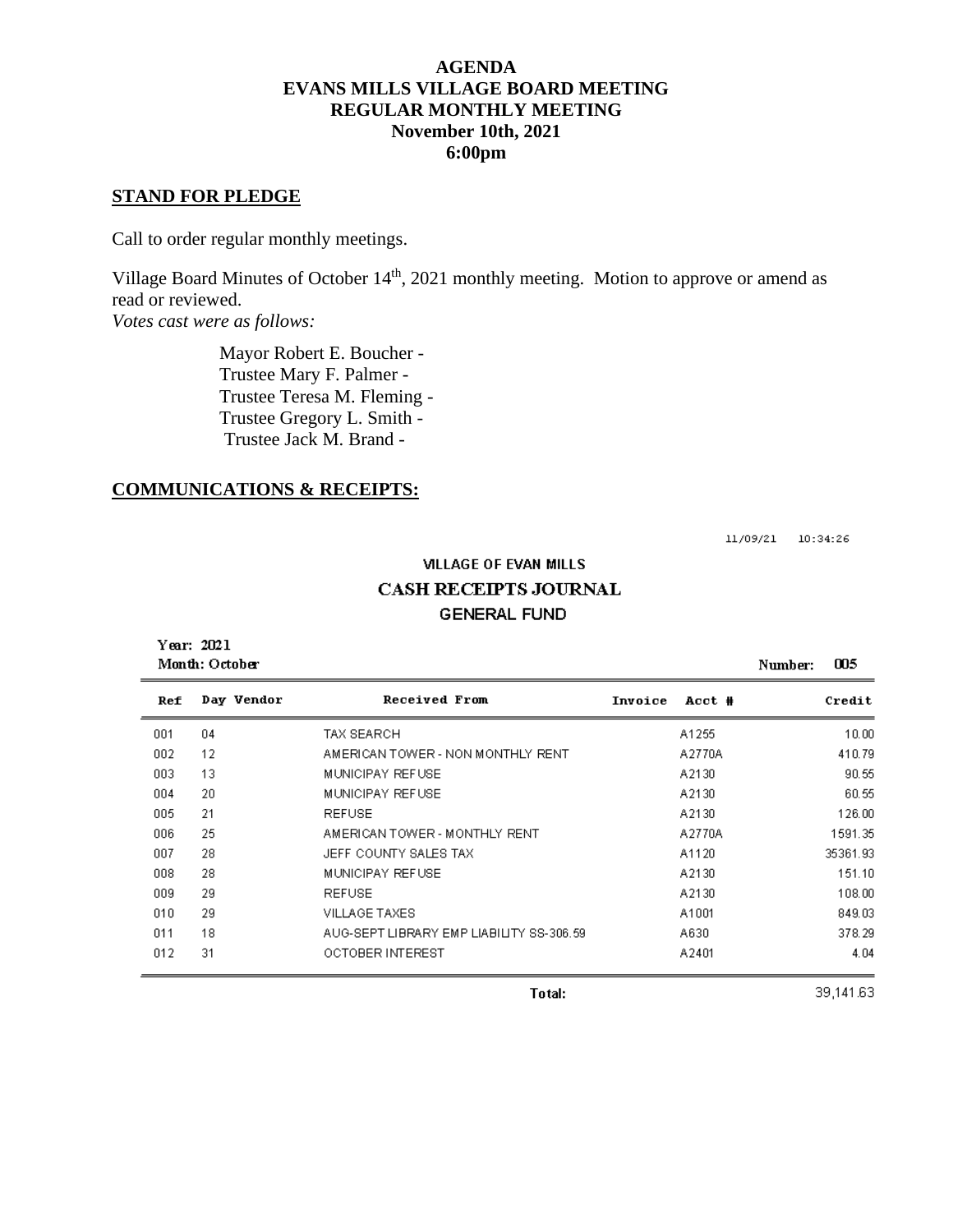### **AGENDA EVANS MILLS VILLAGE BOARD MEETING REGULAR MONTHLY MEETING November 10th, 2021 6:00pm**

#### **STAND FOR PLEDGE**

Call to order regular monthly meetings.

Village Board Minutes of October 14<sup>th</sup>, 2021 monthly meeting. Motion to approve or amend as read or reviewed.

*Votes cast were as follows:*

 Mayor Robert E. Boucher - Trustee Mary F. Palmer - Trustee Teresa M. Fleming - Trustee Gregory L. Smith - Trustee Jack M. Brand -

#### **COMMUNICATIONS & RECEIPTS:**

11/09/21 10:34:26

# **VILLAGE OF EVAN MILLS CASH RECEIPTS JOURNAL GENERAL FUND**

| Year: 2021<br>Month: October |            |                                          |         |        |  | 005      |
|------------------------------|------------|------------------------------------------|---------|--------|--|----------|
| Ref                          | Day Vendor | Received From                            | Invoice | Acct # |  | Credit   |
| 001                          | 04         | TAX SEARCH                               |         | A1255  |  | 10.00    |
| 002                          | 12         | AMERICAN TOWER - NON MONTHLY RENT        |         | A2770A |  | 410.79   |
| 003                          | 13         | MUNICIPAY REFUSE                         |         | A2130  |  | 90.55    |
| 004                          | 20         | MUNICIPAY REFUSE                         |         | A2130  |  | 60.55    |
| 005                          | 21         | <b>REFUSE</b>                            |         | A2130  |  | 126.00   |
| 006                          | 25         | AMERICAN TOWER - MONTHLY RENT            |         | A2770A |  | 1591.35  |
| 007                          | 28         | JEFF COUNTY SALES TAX                    |         | A1120  |  | 35361.93 |
| 008                          | 28         | MUNICIPAY REFUSE                         |         | A2130  |  | 151.10   |
| 009                          | 29         | <b>REFUSE</b>                            |         | A2130  |  | 108.00   |
| 010                          | 29         | VILLAGE TAXES                            |         | A1001  |  | 849.03   |
| 011                          | 18         | AUG-SEPT LIBRARY EMP LIABILITY SS-306.59 |         | A630   |  | 378.29   |
| 012                          | 31         | OCTOBER INTEREST                         |         | A2401  |  | 4.04     |

Total:

39,141.63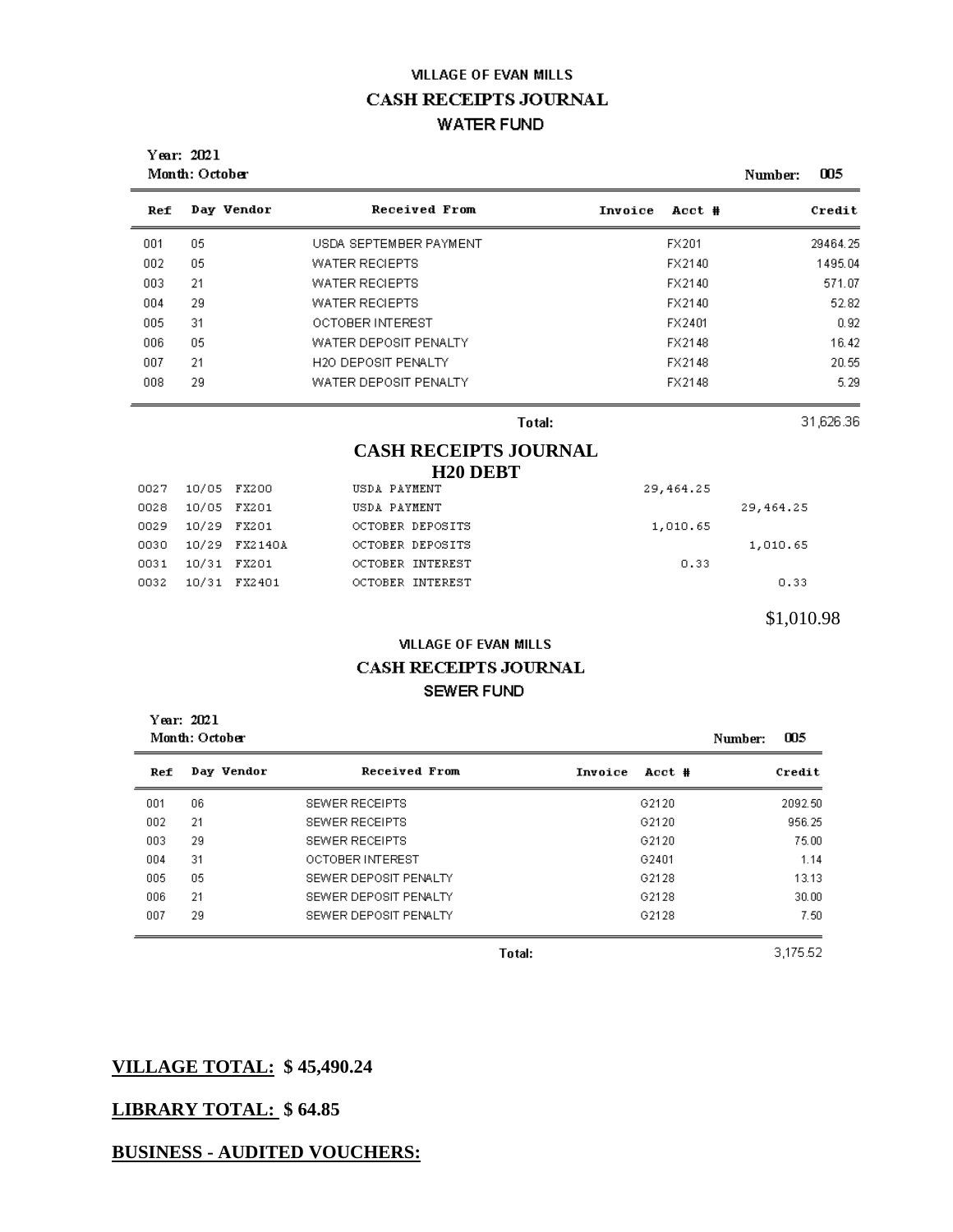# **VILLAGE OF EVAN MILLS CASH RECEIPTS JOURNAL WATER FUND**

|      | Year: 2021<br>Month: October |              |                                            |         |            | Number:    | 005      |
|------|------------------------------|--------------|--------------------------------------------|---------|------------|------------|----------|
| Ref  |                              | Day Vendor   | <b>Received From</b>                       | Invoice | Acct #     |            | Credit   |
| 001  | 05                           |              | USDA SEPTEMBER PAYMENT                     |         | FX201      |            | 29464.25 |
| 002  | 05                           |              | <b>WATER RECIEPTS</b>                      |         | FX2140     |            | 1495.04  |
| 003  | 21                           |              | <b>WATER RECIEPTS</b>                      |         | FX2140     |            | 571.07   |
| 004  | 29                           |              | <b>WATER RECIEPTS</b>                      |         | FX2140     |            | 52.82    |
| 005  | 31                           |              | OCTOBER INTEREST                           |         | FX2401     |            | 0.92     |
| 006  | 05                           |              | WATER DEPOSIT PENALTY                      |         | FX2148     |            | 16.42    |
| 007  | 21                           |              | H2O DEPOSIT PENALTY                        |         | FX2148     |            | 20.55    |
| 008  | 29                           |              | WATER DEPOSIT PENALTY                      |         | FX2148     |            | 5.29     |
|      |                              |              |                                            | Total:  |            | 31,626.36  |          |
|      |                              |              | <b>CASH RECEIPTS JOURNAL</b>               |         |            |            |          |
|      |                              |              | <b>H20 DEBT</b>                            |         |            |            |          |
| 0027 | 10/05 FX200                  |              | USDA PAYMENT                               |         | 29, 464.25 |            |          |
| 0028 | 10/05                        | FX201        | USDA PAYMENT                               |         |            | 29, 464.25 |          |
| 0029 | 10/29 FX201                  |              | OCTOBER DEPOSITS                           |         | 1,010.65   |            |          |
| 0030 | 10/29                        | FX2140A      | OCTOBER DEPOSITS                           |         |            | 1,010.65   |          |
| 0031 | 10/31 FX201                  |              | OCTOBER INTEREST                           |         | 0.33       |            |          |
| 0032 |                              | 10/31 FX2401 | OCTOBER INTEREST                           |         |            | 0.33       |          |
|      |                              |              |                                            |         |            | \$1,010.98 |          |
|      |                              |              | $1.811$ $2.05$ $2.5$ $7.223$ $1.811$ $1.0$ |         |            |            |          |

#### **VILLAGE OF EVAN MILLS** CASH RECEIPTS JOURNAL SEWER FUND

|     | Year: 2021<br>Month: October |                       |                   |          |  |
|-----|------------------------------|-----------------------|-------------------|----------|--|
| Ref | Day Vendor                   | Received From         | Invoice<br>Acct # | Credit   |  |
| 001 | 06                           | <b>SEWER RECEIPTS</b> | G2120             | 2092.50  |  |
| 002 | 21                           | SEWER RECEIPTS        | G2120             | 956.25   |  |
| 003 | 29                           | SEWER RECEIPTS        | G2120             | 75.00    |  |
| 004 | 31                           | OCTOBER INTEREST      | G2401             | 1.14     |  |
| 005 | 05                           | SEWER DEPOSIT PENALTY | G2128             | 13.13    |  |
| 006 | 21                           | SEWER DEPOSIT PENALTY | G2128             | 30.00    |  |
| 007 | 29                           | SEWER DEPOSIT PENALTY | G2128             | 7.50     |  |
|     |                              |                       | Total:            | 3.175.52 |  |

## **VILLAGE TOTAL: \$ 45,490.24**

# **LIBRARY TOTAL: \$ 64.85**

## **BUSINESS - AUDITED VOUCHERS:**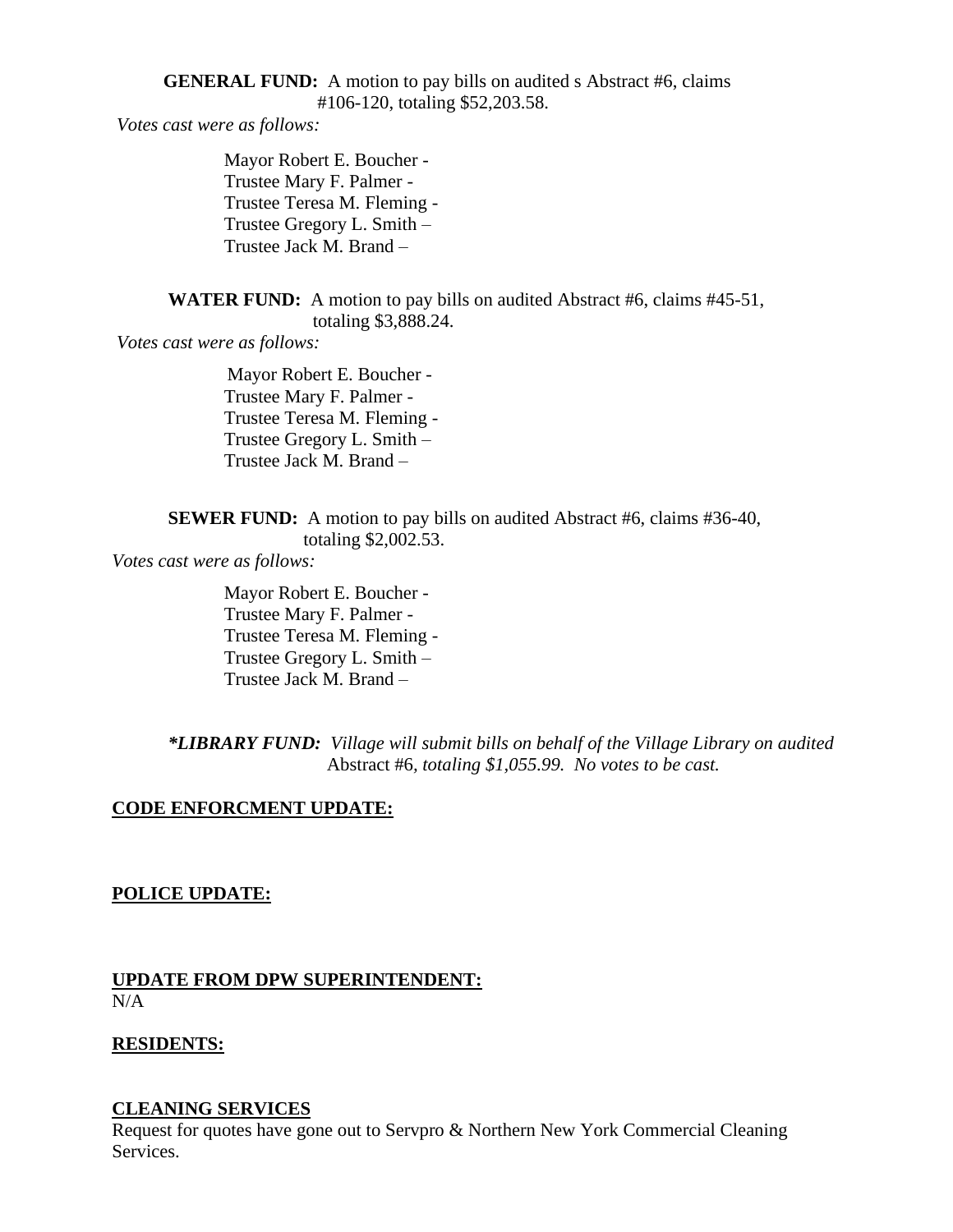**GENERAL FUND:** A motion to pay bills on audited s Abstract #6, claims #106-120, totaling \$52,203.58.

*Votes cast were as follows:*

Mayor Robert E. Boucher - Trustee Mary F. Palmer - Trustee Teresa M. Fleming - Trustee Gregory L. Smith – Trustee Jack M. Brand –

**WATER FUND:** A motion to pay bills on audited Abstract #6, claims #45-51, totaling \$3,888.24.

*Votes cast were as follows:*

 Mayor Robert E. Boucher - Trustee Mary F. Palmer - Trustee Teresa M. Fleming - Trustee Gregory L. Smith – Trustee Jack M. Brand –

**SEWER FUND:** A motion to pay bills on audited Abstract #6, claims #36-40, totaling \$2,002.53.

*Votes cast were as follows:*

Mayor Robert E. Boucher - Trustee Mary F. Palmer - Trustee Teresa M. Fleming - Trustee Gregory L. Smith – Trustee Jack M. Brand –

*\*LIBRARY FUND: Village will submit bills on behalf of the Village Library on audited* Abstract #6*, totaling \$1,055.99. No votes to be cast.*

#### **CODE ENFORCMENT UPDATE:**

#### **POLICE UPDATE:**

#### **UPDATE FROM DPW SUPERINTENDENT:**  $N/A$

#### **RESIDENTS:**

# **CLEANING SERVICES**

Request for quotes have gone out to Servpro & Northern New York Commercial Cleaning Services.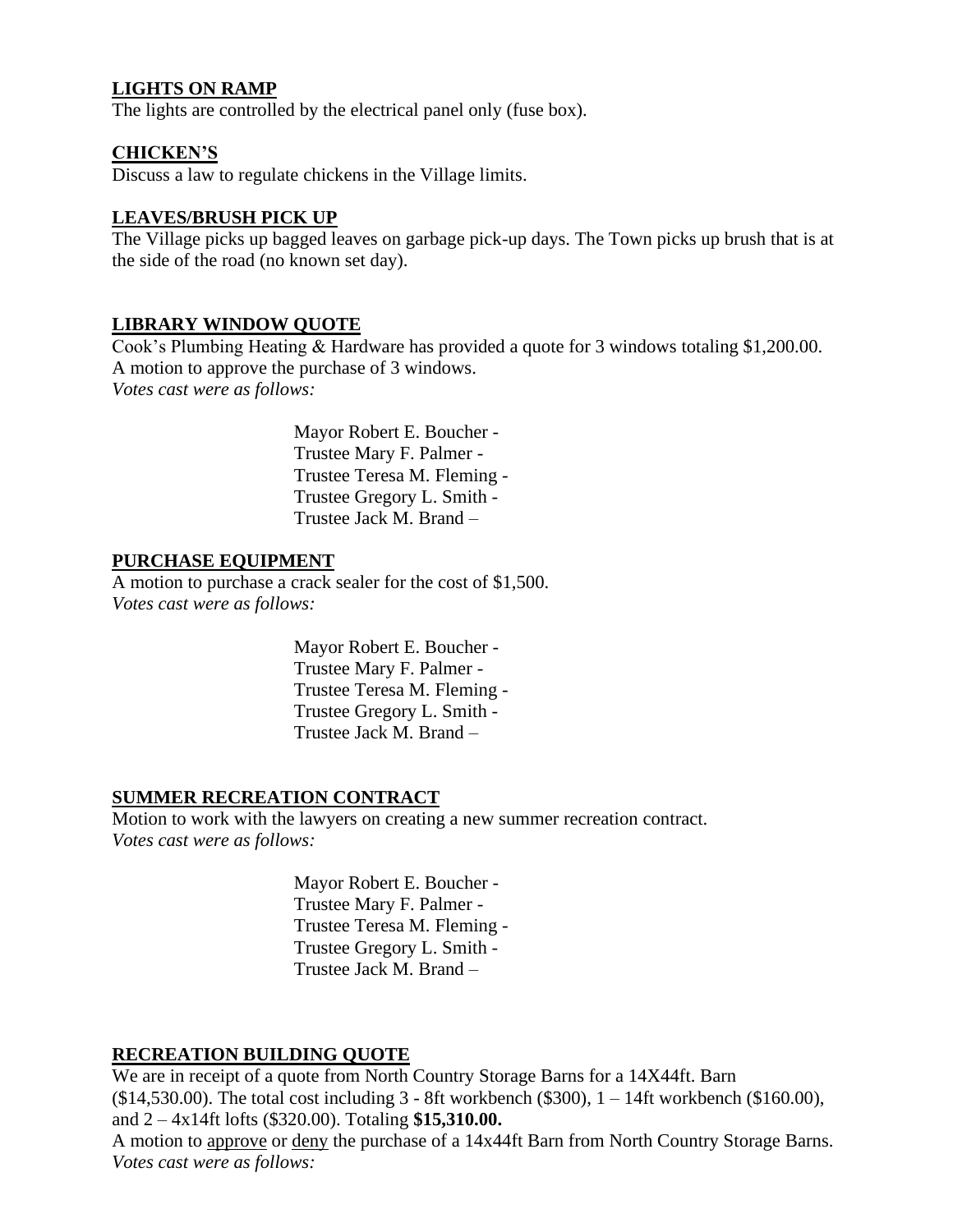### **LIGHTS ON RAMP**

The lights are controlled by the electrical panel only (fuse box).

#### **CHICKEN'S**

Discuss a law to regulate chickens in the Village limits.

#### **LEAVES/BRUSH PICK UP**

The Village picks up bagged leaves on garbage pick-up days. The Town picks up brush that is at the side of the road (no known set day).

#### **LIBRARY WINDOW QUOTE**

Cook's Plumbing Heating & Hardware has provided a quote for 3 windows totaling \$1,200.00. A motion to approve the purchase of 3 windows. *Votes cast were as follows:*

> Mayor Robert E. Boucher - Trustee Mary F. Palmer - Trustee Teresa M. Fleming - Trustee Gregory L. Smith - Trustee Jack M. Brand –

#### **PURCHASE EQUIPMENT**

A motion to purchase a crack sealer for the cost of \$1,500. *Votes cast were as follows:*

> Mayor Robert E. Boucher - Trustee Mary F. Palmer - Trustee Teresa M. Fleming - Trustee Gregory L. Smith - Trustee Jack M. Brand –

#### **SUMMER RECREATION CONTRACT**

Motion to work with the lawyers on creating a new summer recreation contract. *Votes cast were as follows:*

> Mayor Robert E. Boucher - Trustee Mary F. Palmer - Trustee Teresa M. Fleming - Trustee Gregory L. Smith - Trustee Jack M. Brand –

#### **RECREATION BUILDING QUOTE**

We are in receipt of a quote from North Country Storage Barns for a 14X44ft. Barn  $(14,530.00)$ . The total cost including 3 - 8ft workbench  $(300)$ , 1 – 14ft workbench  $(160.00)$ , and 2 – 4x14ft lofts (\$320.00). Totaling **\$15,310.00.**

A motion to approve or deny the purchase of a 14x44ft Barn from North Country Storage Barns. *Votes cast were as follows:*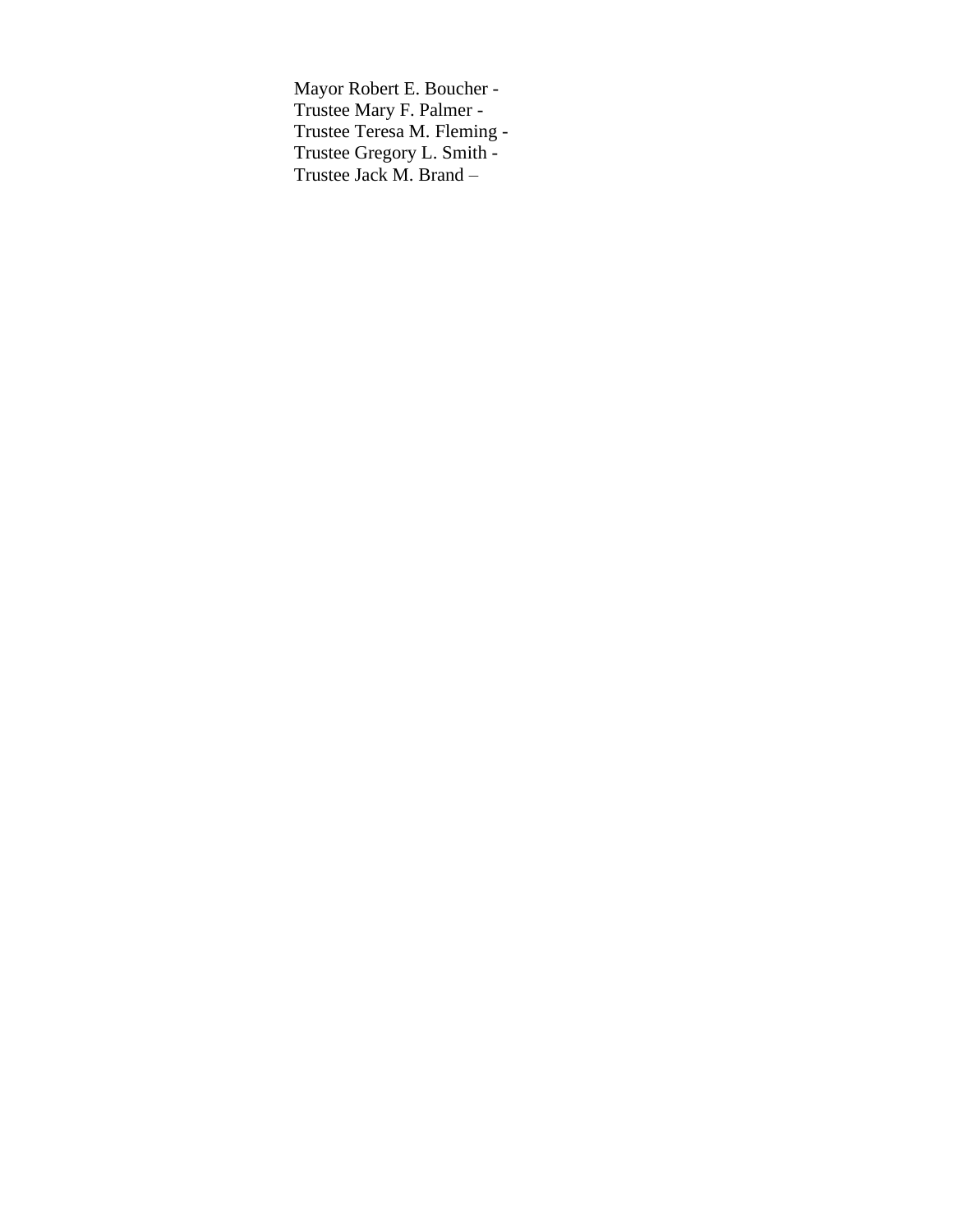Mayor Robert E. Boucher - Trustee Mary F. Palmer - Trustee Teresa M. Fleming - Trustee Gregory L. Smith - Trustee Jack M. Brand –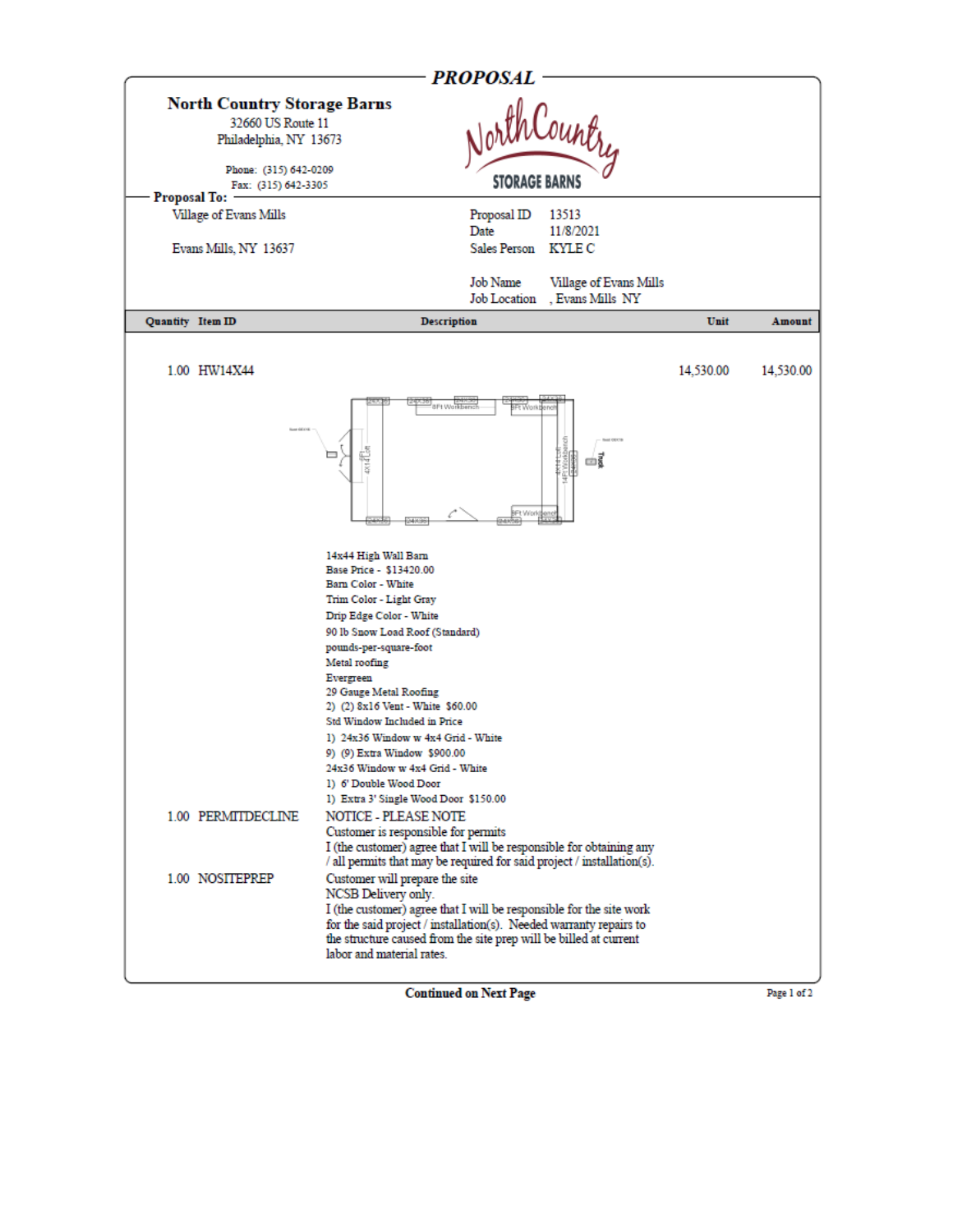

**Continued on Next Page** 

Page 1 of 2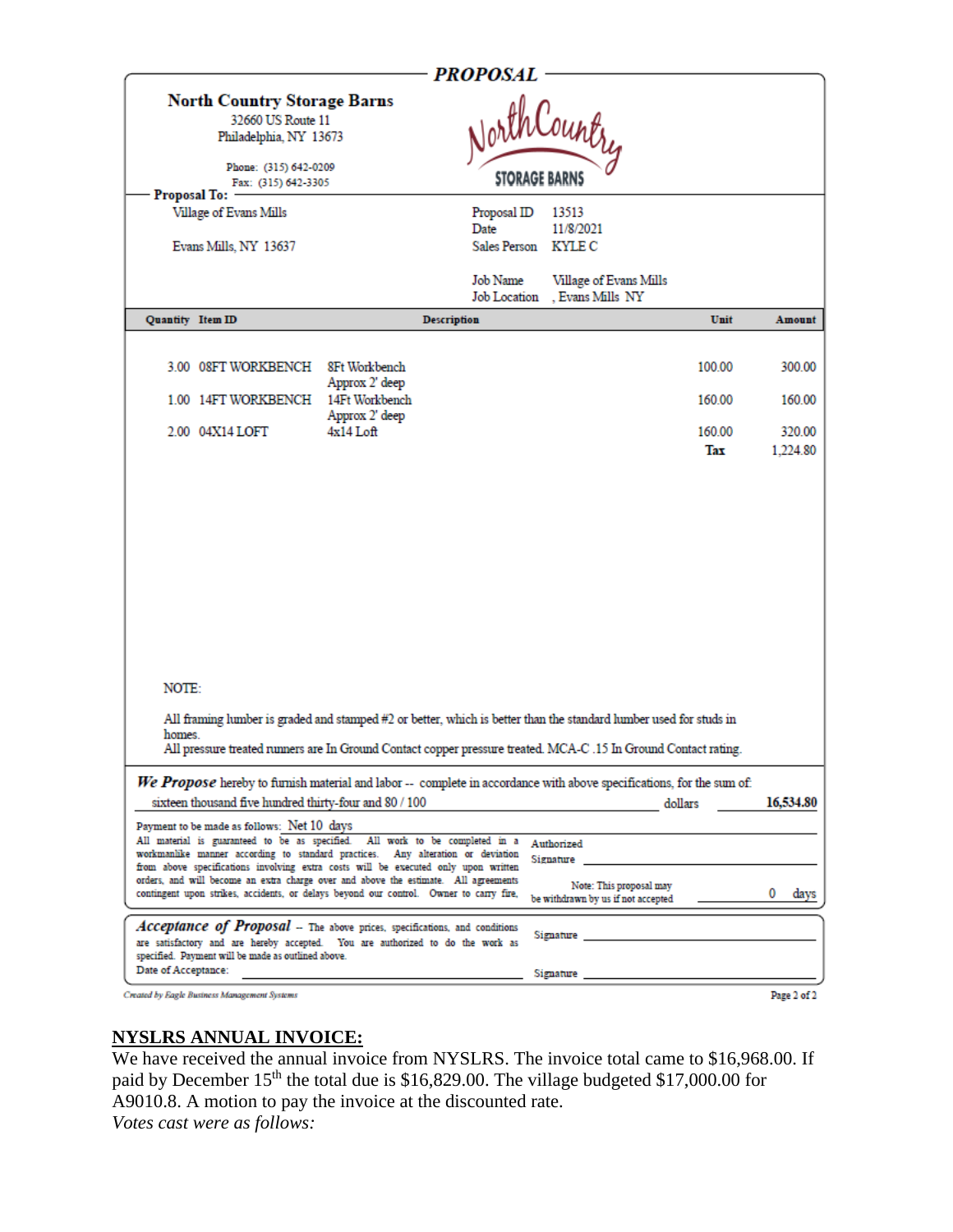| <b>PROPOSAL</b>                                                                                                                                                                                                                                                                                                                                                                                                                        |                                  |                      |                                                                                          |               |   |                    |  |  |
|----------------------------------------------------------------------------------------------------------------------------------------------------------------------------------------------------------------------------------------------------------------------------------------------------------------------------------------------------------------------------------------------------------------------------------------|----------------------------------|----------------------|------------------------------------------------------------------------------------------|---------------|---|--------------------|--|--|
| <b>North Country Storage Barns</b><br>32660 US Route 11<br>Philadelphia, NY 13673                                                                                                                                                                                                                                                                                                                                                      |                                  |                      | orth Country                                                                             |               |   |                    |  |  |
| Phone: (315) 642-0209<br>Fax: (315) 642-3305                                                                                                                                                                                                                                                                                                                                                                                           |                                  | <b>STORAGE BARNS</b> |                                                                                          |               |   |                    |  |  |
| <b>Proposal To:</b><br>Village of Evans Mills                                                                                                                                                                                                                                                                                                                                                                                          |                                  | Proposal ID<br>Date  | 13513<br>11/8/2021                                                                       |               |   |                    |  |  |
| Evans Mills, NY 13637                                                                                                                                                                                                                                                                                                                                                                                                                  |                                  | Sales Person KYLE C  |                                                                                          |               |   |                    |  |  |
|                                                                                                                                                                                                                                                                                                                                                                                                                                        |                                  | Job Name             | Village of Evans Mills<br>Job Location , Evans Mills NY                                  |               |   |                    |  |  |
| Quantity Item ID                                                                                                                                                                                                                                                                                                                                                                                                                       |                                  | Description          |                                                                                          | Unit          |   | Amount             |  |  |
| 3.00 OSFT WORKBENCH                                                                                                                                                                                                                                                                                                                                                                                                                    | 8Ft Workbench<br>Approx 2' deep  |                      |                                                                                          | 100.00        |   | 300.00             |  |  |
| 1.00 14FT WORKBENCH                                                                                                                                                                                                                                                                                                                                                                                                                    | 14Ft Workbench<br>Approx 2' deep |                      |                                                                                          | 160.00        |   | 160.00             |  |  |
| 2.00 04X14 LOFT                                                                                                                                                                                                                                                                                                                                                                                                                        | $4x14$ Loft                      |                      |                                                                                          | 160.00<br>Tax |   | 320.00<br>1,224.80 |  |  |
|                                                                                                                                                                                                                                                                                                                                                                                                                                        |                                  |                      |                                                                                          |               |   |                    |  |  |
| NOTE:<br>All framing lumber is graded and stamped #2 or better, which is better than the standard lumber used for studs in<br>homes.<br>All pressure treated runners are In Ground Contact copper pressure treated. MCA-C .15 In Ground Contact rating.                                                                                                                                                                                |                                  |                      |                                                                                          |               |   |                    |  |  |
| We Propose hereby to furnish material and labor -- complete in accordance with above specifications, for the sum of:                                                                                                                                                                                                                                                                                                                   |                                  |                      |                                                                                          |               |   |                    |  |  |
| sixteen thousand five hundred thirty-four and 80 / 100<br>16,534.80<br>dollars<br>Payment to be made as follows: Net 10 days                                                                                                                                                                                                                                                                                                           |                                  |                      |                                                                                          |               |   |                    |  |  |
| All material is guaranteed to be as specified. All work to be completed in a<br>workmanlike manner according to standard practices. Any alteration or deviation<br>from above specifications involving extra costs will be executed only upon written<br>orders, and will become an extra charge over and above the estimate. All agreements<br>contingent upon strikes, accidents, or delays beyond our control. Owner to carry fire, |                                  |                      | Authorized<br>Signature<br>Note: This proposal may<br>be withdrawn by us if not accepted |               | 0 | days               |  |  |
|                                                                                                                                                                                                                                                                                                                                                                                                                                        |                                  |                      |                                                                                          |               |   |                    |  |  |
| Acceptance of Proposal -- The above prices, specifications, and conditions<br>are satisfactory and are hereby accepted. You are authorized to do the work as<br>specified. Payment will be made as outlined above.                                                                                                                                                                                                                     |                                  |                      | Signature                                                                                |               |   |                    |  |  |
| Date of Acceptance:<br>Created by Eagle Business Management Systems                                                                                                                                                                                                                                                                                                                                                                    |                                  |                      | Signature                                                                                |               |   | Page 2 of 2        |  |  |

### **NYSLRS ANNUAL INVOICE:**

We have received the annual invoice from NYSLRS. The invoice total came to \$16,968.00. If paid by December 15<sup>th</sup> the total due is \$16,829.00. The village budgeted \$17,000.00 for A9010.8. A motion to pay the invoice at the discounted rate. *Votes cast were as follows:*